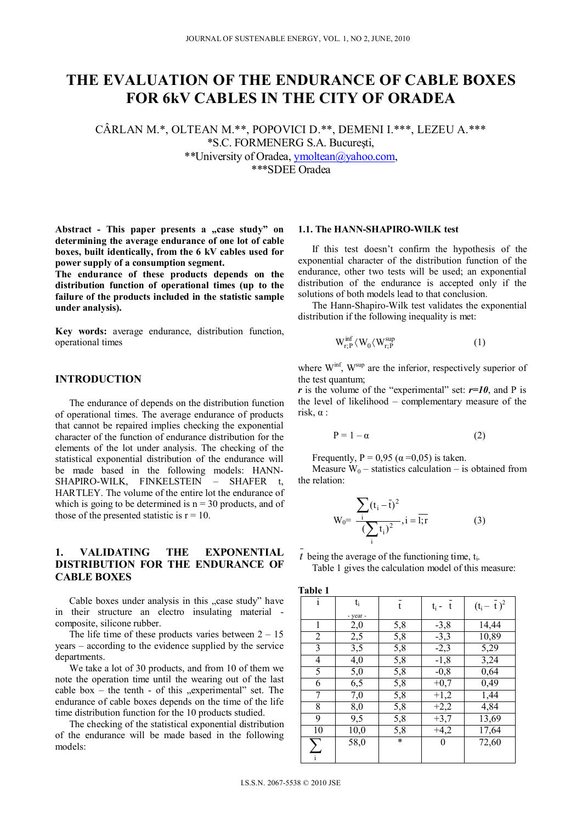# **THE EVALUATION OF THE ENDURANCE OF CABLE BOXES FOR 6kV CABLES IN THE CITY OF ORADEA**

CÂRLAN M.\*, OLTEAN M.\*\*, POPOVICI D.\*\*, DEMENI I.\*\*\*, LEZEU A.\*\*\* \*S.C. FORMENERG S.A. Bucureşti, \*\*University of Oradea, ymoltean@yahoo.com, \*\*\*SDEE Oradea

Abstract - This paper presents a "case study" on **determining the average endurance of one lot of cable boxes, built identically, from the 6 kV cables used for power supply of a consumption segment.** 

**The endurance of these products depends on the distribution function of operational times (up to the failure of the products included in the statistic sample under analysis).** 

**Key words:** average endurance, distribution function, operational times

## **INTRODUCTION**

The endurance of depends on the distribution function of operational times. The average endurance of products that cannot be repaired implies checking the exponential character of the function of endurance distribution for the elements of the lot under analysis. The checking of the statistical exponential distribution of the endurance will be made based in the following models: HANN-SHAPIRO-WILK, FINKELSTEIN - SHAFER t, HARTLEY. The volume of the entire lot the endurance of which is going to be determined is  $n = 30$  products, and of those of the presented statistic is  $r = 10$ .

## **1. VALIDATING THE EXPONENTIAL DISTRIBUTION FOR THE ENDURANCE OF CABLE BOXES**

Cable boxes under analysis in this "case study" have in their structure an electro insulating material composite, silicone rubber.

The life time of these products varies between  $2 - 15$ years – according to the evidence supplied by the service departments.

We take a lot of 30 products, and from 10 of them we note the operation time until the wearing out of the last cable box – the tenth - of this  $R$ , experimental" set. The endurance of cable boxes depends on the time of the life time distribution function for the 10 products studied.

The checking of the statistical exponential distribution of the endurance will be made based in the following models:

#### **1.1. The HANN-SHAPIRO-WILK test**

If this test doesn't confirm the hypothesis of the exponential character of the distribution function of the endurance, other two tests will be used; an exponential distribution of the endurance is accepted only if the solutions of both models lead to that conclusion.

The Hann-Shapiro-Wilk test validates the exponential distribution if the following inequality is met:

$$
W_{r;P}^{\text{inf}} \langle W_0 \langle W_{r;P}^{\text{sup}} \rangle \tag{1}
$$

where  $W^{\text{inf}}$ ,  $W^{\text{sup}}$  are the inferior, respectively superior of the test quantum;

*r* is the volume of the "experimental" set:  $r=10$ , and P is the level of likelihood – complementary measure of the risk,  $\alpha$  :

$$
P = 1 - \alpha \tag{2}
$$

Frequently,  $P = 0.95$  ( $\alpha = 0.05$ ) is taken.

Measure  $W_0$  – statistics calculation – is obtained from the relation:

$$
W_0 = \frac{\sum_{i} (t_i - \bar{t})^2}{\left(\sum_{i} t_i\right)^2}, i = \overline{1; r}
$$
 (3)

 $t$  being the average of the functioning time,  $t_i$ .

Table 1 gives the calculation model of this measure:

**Table 1** 

| $\mathbf{i}$   | ti       | $\overline{t}$   | $t_i - t$ | $(t_i - \overline{t})^2$ |
|----------------|----------|------------------|-----------|--------------------------|
|                | - year - |                  |           |                          |
| 1              | 2,0      | 5,8              | $-3,8$    | 14,44                    |
| $\overline{2}$ | 2,5      | 5,8              | $-3,3$    | 10,89                    |
| $\overline{3}$ | 3,5      | 5,8              | $-2,3$    | 5,29                     |
| $\overline{4}$ | 4,0      | 5,8              | $-1,8$    | 3,24                     |
| 5              | 5,0      | $\overline{5,8}$ | $-0,8$    | 0,64                     |
| 6              | 6,5      | 5,8              | $+0,7$    | 0,49                     |
| $\sqrt{ }$     | 7,0      | 5,8              | $+1,2$    | 1,44                     |
| 8              | 8,0      | $\overline{5,8}$ | $+2,2$    | 4,84                     |
| 9              | 9,5      | 5,8              | $+3,7$    | 13,69                    |
| 10             | 10,0     | 5,8              | $+4,2$    | 17,64                    |
|                | 58,0     | $\ast$           | $\theta$  | 72,60                    |
| $\sum_{i}$     |          |                  |           |                          |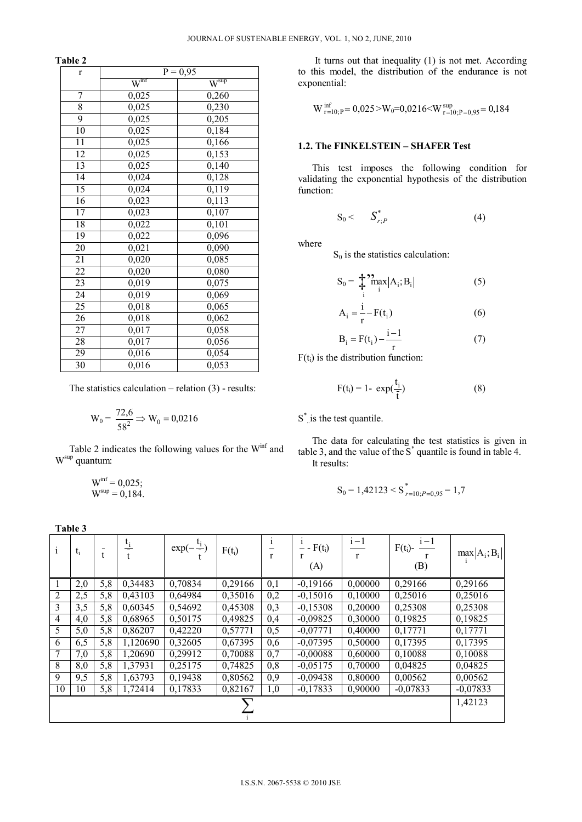**Table 2** 

| $\mathbf r$     | $\overline{P} = 0.95$               |                                      |  |  |
|-----------------|-------------------------------------|--------------------------------------|--|--|
|                 | $\overline{\mathsf{W}}^{\text{mf}}$ | $\overline{\mathsf{W}}^{\text{sup}}$ |  |  |
| 7               | 0,025                               | 0,260                                |  |  |
| 8               | 0,025                               | 0,230                                |  |  |
| $\overline{9}$  | 0,025                               | 0,205                                |  |  |
| 10              | 0,025                               | 0,184                                |  |  |
| 11              | 0,025                               | 0,166                                |  |  |
| 12              | 0,025                               | 0,153                                |  |  |
| $\overline{13}$ | $\overline{0,}025$                  | 0,140                                |  |  |
| 14              | 0,024                               | 0,128                                |  |  |
| 15              | 0,024                               | $\overline{0}$ , 119                 |  |  |
| 16              | 0,023                               | 0,113                                |  |  |
| $\overline{17}$ | 0,023                               | 0,107                                |  |  |
| 18              | 0,022                               | 0,101                                |  |  |
| 19              | 0,022                               | 0,096                                |  |  |
| 20              | 0,021                               | 0,090                                |  |  |
| 21              | 0,020                               | 0,085                                |  |  |
| 22              | 0,020                               | 0,080                                |  |  |
| 23              | 0,019                               | 0,075                                |  |  |
| 24              | 0,019                               | 0,069                                |  |  |
| 25              | 0,018                               | 0,065                                |  |  |
| $\overline{26}$ | 0,018                               | 0,062                                |  |  |
| 27              | 0,017                               | 0,058                                |  |  |
| 28              | $\overline{0,017}$                  | 0,056                                |  |  |
| 29              | 0,016                               | $\overline{0,}054$                   |  |  |
| 30              | 0,016                               | 0,053                                |  |  |

The statistics calculation  $-$  relation  $(3)$  - results:

$$
W_0 = \frac{72,6}{58^2} \Rightarrow W_0 = 0.0216
$$

Table 2 indicates the following values for the  $W<sup>inf</sup>$  and Wsup quantum:

$$
W^{inf} = 0.025;
$$
  

$$
W^{sup} = 0.184.
$$

It turns out that inequality (1) is not met. According to this model, the distribution of the endurance is not exponential:

$$
W_{r=10;P}^{\inf}=0.025\!>\!W_0\!\!=\!\!0.0216\!\!<\!\!W_{r=10;P=0,95}\!\!=\!0.184
$$

### **1.2. The FINKELSTEIN – SHAFER Test**

This test imposes the following condition for validating the exponential hypothesis of the distribution function:

$$
S_0 < S_{r;P}^* \tag{4}
$$

where

 $S_0$  is the statistics calculation:

$$
S_0 = \sum_{i}^{n} \sum_{i}^{n} |A_i; B_i|
$$
 (5)

$$
A_i = \frac{i}{r} - F(t_i) \tag{6}
$$

$$
B_i = F(t_i) - \frac{i-1}{r} \tag{7}
$$

 $F(t<sub>i</sub>)$  is the distribution function:

$$
F(t_i) = 1 - \exp(\frac{t_i}{\bar{t}})
$$
\n(8)

S\* is the test quantile.

The data for calculating the test statistics is given in table 3, and the value of the  $S^*$  quantile is found in table 4. It results:

$$
S_0 = 1,42123 < S^*_{r=10; P=0,95} = 1,7
$$

|                | Table 3 |     |                 |                       |          |                              |                                                   |                       |                                                   |                  |
|----------------|---------|-----|-----------------|-----------------------|----------|------------------------------|---------------------------------------------------|-----------------------|---------------------------------------------------|------------------|
| 1              | $t_i$   | t   | $\frac{t_i}{t}$ | $exp(-\frac{t_i}{t})$ | $F(t_i)$ | $\mathbf{i}$<br>$\mathbf{r}$ | $-F(t_i)$<br>$\overline{\phantom{0}}$<br>r<br>(A) | $i-1$<br>$\mathbf{r}$ | $F(t_i)$ - $\frac{i-1}{i}$<br>$\mathbf{r}$<br>(B) | $max  A_i; B_i $ |
| 1              | 2,0     | 5,8 | 0,34483         | 0,70834               | 0,29166  | 0,1                          | $-0,19166$                                        | 0,00000               | 0,29166                                           | 0,29166          |
| $\overline{2}$ | 2,5     | 5,8 | 0,43103         | 0,64984               | 0,35016  | 0,2                          | $-0,15016$                                        | 0,10000               | 0,25016                                           | 0,25016          |
| 3              | 3,5     | 5,8 | 0,60345         | 0,54692               | 0,45308  | 0,3                          | $-0,15308$                                        | 0,20000               | 0,25308                                           | 0,25308          |
| $\overline{4}$ | 4,0     | 5,8 | 0.68965         | 0,50175               | 0,49825  | 0,4                          | $-0,09825$                                        | 0,30000               | 0,19825                                           | 0,19825          |
| 5              | 5,0     | 5,8 | 0,86207         | 0,42220               | 0,57771  | 0,5                          | $-0,07771$                                        | 0,40000               | 0,17771                                           | 0,17771          |
| 6              | 6,5     | 5,8 | 1,120690        | 0,32605               | 0,67395  | 0,6                          | $-0,07395$                                        | 0,50000               | 0,17395                                           | 0,17395          |
| 7              | 7,0     | 5,8 | 1,20690         | 0,29912               | 0,70088  | 0,7                          | $-0,00088$                                        | 0,60000               | 0,10088                                           | 0,10088          |
| 8              | 8,0     | 5,8 | 1,37931         | 0,25175               | 0,74825  | 0,8                          | $-0,05175$                                        | 0,70000               | 0,04825                                           | 0,04825          |
| 9              | 9,5     | 5,8 | 1,63793         | 0,19438               | 0,80562  | 0,9                          | $-0,09438$                                        | 0,80000               | 0,00562                                           | 0,00562          |
| 10             | 10      | 5,8 | 1,72414         | 0,17833               | 0,82167  | 1,0                          | $-0,17833$                                        | 0,90000               | $-0,07833$                                        | $-0,07833$       |
|                |         |     |                 |                       |          |                              |                                                   |                       |                                                   | 1,42123          |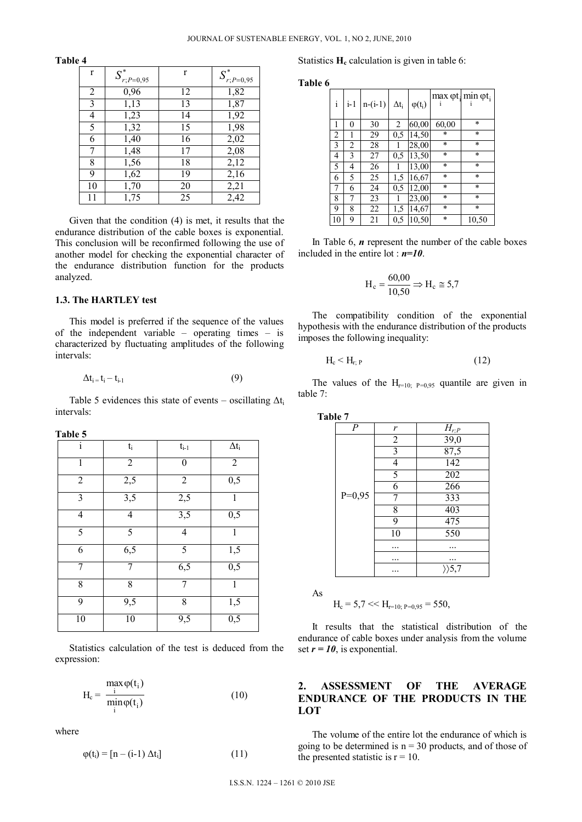| $\mathbf{r}$ | $\boldsymbol{S}_{r;P=0,95}^*$ | r  | $\boldsymbol{S}^*_{r;P=0,95}$ |
|--------------|-------------------------------|----|-------------------------------|
| 2            | 0,96                          | 12 | 1,82                          |
| 3            | 1,13                          | 13 | 1,87                          |
| 4            | 1,23                          | 14 | 1,92                          |
| 5            | 1,32                          | 15 | 1,98                          |
| 6            | 1,40                          | 16 | 2,02                          |
| 7            | 1,48                          | 17 | 2,08                          |
| 8            | 1,56                          | 18 | 2,12                          |
| 9            | 1,62                          | 19 | 2,16                          |
| 10           | 1,70                          | 20 | 2,21                          |
| 11           | 1,75                          | 25 | 2,42                          |

**Table 4** 

Given that the condition (4) is met, it results that the endurance distribution of the cable boxes is exponential. This conclusion will be reconfirmed following the use of another model for checking the exponential character of the endurance distribution function for the products analyzed.

#### **1.3. The HARTLEY test**

This model is preferred if the sequence of the values of the independent variable – operating times – is characterized by fluctuating amplitudes of the following intervals:

$$
\Delta t_{i} = t_{i} - t_{i-1} \tag{9}
$$

Table 5 evidences this state of events – oscillating  $\Delta t_i$ intervals:

| anıe |  |
|------|--|
|------|--|

| $\overline{i}$ | $t_i$          | $t_{i-1}$      | $\Delta t_i$ |
|----------------|----------------|----------------|--------------|
| 1              | $\overline{2}$ | 0              | $\sqrt{2}$   |
| $\overline{2}$ | 2,5            | $\overline{2}$ | 0,5          |
| 3              | 3,5            | 2,5            | 1            |
| 4              | $\overline{4}$ | 3,5            | 0,5          |
| 5              | 5              | $\overline{4}$ | $\mathbf{1}$ |
| 6              | 6,5            | 5              | 1,5          |
| 7              | 7              | 6,5            | 0,5          |
| 8              | 8              | 7              | 1            |
| 9              | 9,5            | 8              | 1,5          |
| 10             | 10             | 9,5            | 0,5          |

Statistics calculation of the test is deduced from the expression:

$$
H_c = \frac{\max_{i} \varphi(t_i)}{\min_{i} \varphi(t_i)}
$$
(10)

where

$$
\varphi(t_i) = [n - (i-1) \Delta t_i] \tag{11}
$$

Statistics  $H_c$  calculation is given in table 6:

**Table 6**

| i              | $i-1$          | $n-(i-1)$ | $\Delta t_{\rm i}$ | $\varphi(t_i)$ |        | $\max \varphi t_i$ min $\varphi t_i$ |
|----------------|----------------|-----------|--------------------|----------------|--------|--------------------------------------|
| 1              | 0              | 30        | $\overline{c}$     | 60,00          | 60,00  | $\star$                              |
| $\overline{2}$ | 1              | 29        | 0.5                | 14,50          | $\ast$ | $\star$                              |
| 3              | $\overline{2}$ | 28        | 1                  | 28,00          | $\ast$ | $\star$                              |
| 4              | 3              | 27        | 0.5                | 13,50          | $\ast$ | $\star$                              |
| 5              | 4              | 26        |                    | 13,00          | $\ast$ | $\star$                              |
| 6              | 5              | 25        | 1,5                | 16,67          | $\ast$ | $\ast$                               |
| 7              | 6              | 24        | 0.5                | 12,00          | $\ast$ | $\star$                              |
| 8              | 7              | 23        |                    | 23,00          | $\ast$ | $\star$                              |
| 9              | 8              | 22        | 1,5                | 14,67          | $\ast$ | $\star$                              |
| 10             | 9              | 21        | 0.5                | 10,50          | $\ast$ | 10,50                                |

In Table 6, *n* represent the number of the cable boxes included in the entire lot : *n=10*.

$$
H_c = \frac{60,00}{10,50} \Rightarrow H_c \cong 5,7
$$

The compatibility condition of the exponential hypothesis with the endurance distribution of the products imposes the following inequality:

$$
H_c < H_{r;P} \tag{12}
$$

The values of the  $H_{r=10}$   $_{P=0.95}$  quantile are given in table 7:

| Table 7 |                |                |                |  |  |
|---------|----------------|----------------|----------------|--|--|
|         | $\overline{P}$ | r              | $H_{r;P}$      |  |  |
|         |                | $\overline{2}$ | 39,0           |  |  |
|         |                | $\overline{3}$ | 87,5           |  |  |
|         |                | 4              | 142            |  |  |
|         |                | 5              | 202            |  |  |
|         |                | 6              | 266            |  |  |
|         | $P=0,95$       | 7              | 333            |  |  |
|         |                | 8              | 403            |  |  |
|         |                | 9              | 475            |  |  |
|         |                | 10             | 550            |  |  |
|         |                |                |                |  |  |
|         |                | .              | .              |  |  |
|         |                |                | $\rangle$ >5,7 |  |  |

As

$$
H_c = 5.7 \ll H_{r=10; P=0.95} = 550,
$$

It results that the statistical distribution of the endurance of cable boxes under analysis from the volume set  $r = 10$ , is exponential.

## **2. ASSESSMENT OF THE AVERAGE ENDURANCE OF THE PRODUCTS IN THE LOT**

The volume of the entire lot the endurance of which is going to be determined is  $n = 30$  products, and of those of the presented statistic is  $r = 10$ .